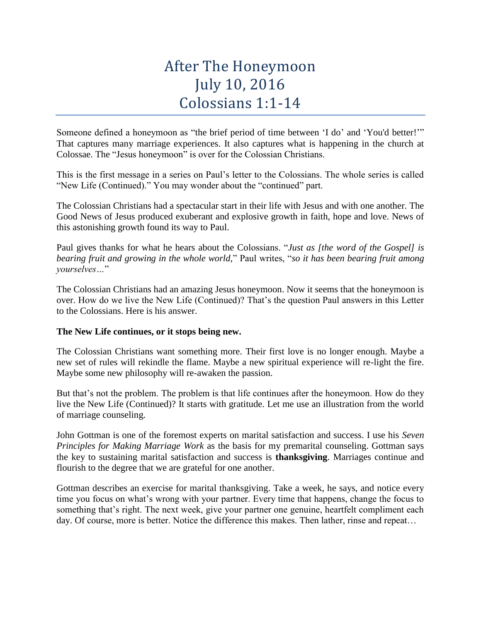# After The Honeymoon July 10, 2016 Colossians 1:1-14

Someone defined a honeymoon as "the brief period of time between 'I do' and 'You'd better!'" That captures many marriage experiences. It also captures what is happening in the church at Colossae. The "Jesus honeymoon" is over for the Colossian Christians.

This is the first message in a series on Paul's letter to the Colossians. The whole series is called "New Life (Continued)." You may wonder about the "continued" part.

The Colossian Christians had a spectacular start in their life with Jesus and with one another. The Good News of Jesus produced exuberant and explosive growth in faith, hope and love. News of this astonishing growth found its way to Paul.

Paul gives thanks for what he hears about the Colossians. "*Just as [the word of the Gospel] is bearing fruit and growing in the whole world,*" Paul writes, "*so it has been bearing fruit among yourselves…*"

The Colossian Christians had an amazing Jesus honeymoon. Now it seems that the honeymoon is over. How do we live the New Life (Continued)? That's the question Paul answers in this Letter to the Colossians. Here is his answer.

## **The New Life continues, or it stops being new.**

The Colossian Christians want something more. Their first love is no longer enough. Maybe a new set of rules will rekindle the flame. Maybe a new spiritual experience will re-light the fire. Maybe some new philosophy will re-awaken the passion.

But that's not the problem. The problem is that life continues after the honeymoon. How do they live the New Life (Continued)? It starts with gratitude. Let me use an illustration from the world of marriage counseling.

John Gottman is one of the foremost experts on marital satisfaction and success. I use his *Seven Principles for Making Marriage Work* as the basis for my premarital counseling. Gottman says the key to sustaining marital satisfaction and success is **thanksgiving**. Marriages continue and flourish to the degree that we are grateful for one another.

Gottman describes an exercise for marital thanksgiving. Take a week, he says, and notice every time you focus on what's wrong with your partner. Every time that happens, change the focus to something that's right. The next week, give your partner one genuine, heartfelt compliment each day. Of course, more is better. Notice the difference this makes. Then lather, rinse and repeat…